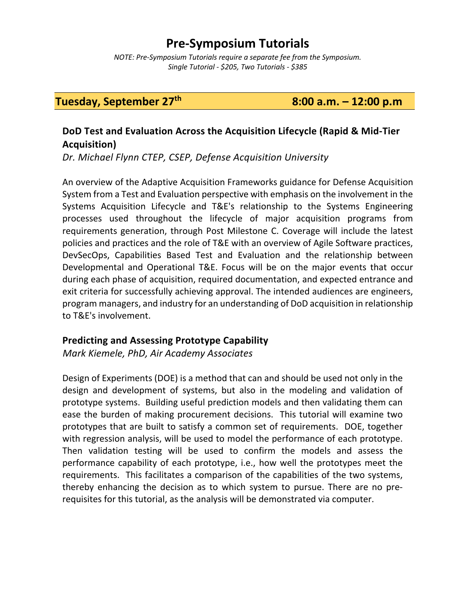# **Pre-Symposium Tutorials**

*NOTE: Pre-Symposium Tutorials require a separate fee from the Symposium. Single Tutorial - \$205, Two Tutorials - \$385* 

**Tuesday, September**  $27<sup>th</sup>$  8:00 **a.m.**  $-12:00$  **p.m** 

## **DoD Test and Evaluation Across the Acquisition Lifecycle (Rapid & Mid-Tier Acquisition)**

*Dr. Michael Flynn CTEP, CSEP, Defense Acquisition University*

An overview of the Adaptive Acquisition Frameworks guidance for Defense Acquisition System from a Test and Evaluation perspective with emphasis on the involvement in the Systems Acquisition Lifecycle and T&E's relationship to the Systems Engineering processes used throughout the lifecycle of major acquisition programs from requirements generation, through Post Milestone C. Coverage will include the latest policies and practices and the role of T&E with an overview of Agile Software practices, DevSecOps, Capabilities Based Test and Evaluation and the relationship between Developmental and Operational T&E. Focus will be on the major events that occur during each phase of acquisition, required documentation, and expected entrance and exit criteria for successfully achieving approval. The intended audiences are engineers, program managers, and industry for an understanding of DoD acquisition in relationship to T&E's involvement.

#### **Predicting and Assessing Prototype Capability**

 *Mark Kiemele, PhD, Air Academy Associates*

Design of Experiments (DOE) is a method that can and should be used not only in the design and development of systems, but also in the modeling and validation of prototype systems. Building useful prediction models and then validating them can ease the burden of making procurement decisions. This tutorial will examine two prototypes that are built to satisfy a common set of requirements. DOE, together with regression analysis, will be used to model the performance of each prototype. Then validation testing will be used to confirm the models and assess the performance capability of each prototype, i.e., how well the prototypes meet the requirements. This facilitates a comparison of the capabilities of the two systems, thereby enhancing the decision as to which system to pursue. There are no prerequisites for this tutorial, as the analysis will be demonstrated via computer.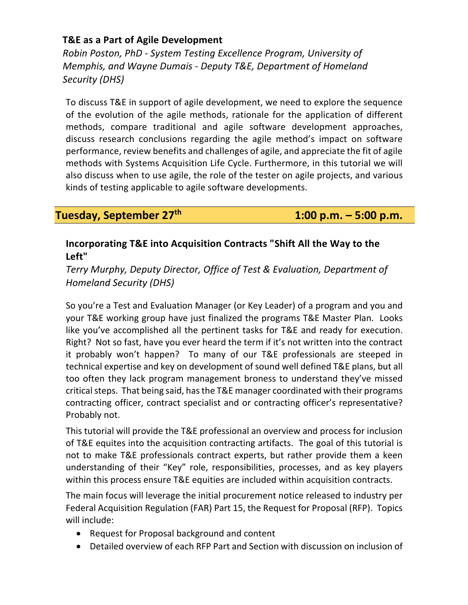#### **T&E as a Part of Agile Development**

 *Robin Poston, PhD - System Testing Excellence Program, University of Memphis, and Wayne Dumais - Deputy T&E, Department of Homeland Security (DHS)*

To discuss T&E in support of agile development, we need to explore the sequence of the evolution of the agile methods, rationale for the application of different methods, compare traditional and agile software development approaches, discuss research conclusions regarding the agile method's impact on software performance, review benefits and challenges of agile, and appreciate the fit of agile methods with Systems Acquisition Life Cycle. Furthermore, in this tutorial we will also discuss when to use agile, the role of the tester on agile projects, and various kinds of testing applicable to agile software developments.

**Tuesday, September 27th 1:00 p.m. – 5:00 p.m.**

## **Incorporating T&E into Acquisition Contracts "Shift All the Way to the Left"**

*Terry Murphy, Deputy Director, Office of Test & Evaluation, Department of Homeland Security (DHS)*

So you're a Test and Evaluation Manager (or Key Leader) of a program and you and your T&E working group have just finalized the programs T&E Master Plan. Looks like you've accomplished all the pertinent tasks for T&E and ready for execution. Right? Not so fast, have you ever heard the term if it's not written into the contract it probably won't happen? To many of our T&E professionals are steeped in technical expertise and key on development of sound well defined T&E plans, but all too often they lack program management broness to understand they've missed critical steps. That being said, has the T&E manager coordinated with their programs contracting officer, contract specialist and or contracting officer's representative? Probably not.

This tutorial will provide the T&E professional an overview and process for inclusion of T&E equites into the acquisition contracting artifacts. The goal of this tutorial is not to make T&E professionals contract experts, but rather provide them a keen understanding of their "Key" role, responsibilities, processes, and as key players within this process ensure T&E equities are included within acquisition contracts.

The main focus will leverage the initial procurement notice released to industry per Federal Acquisition Regulation (FAR) Part 15, the Request for Proposal (RFP). Topics will include:

- Request for Proposal background and content
- Detailed overview of each RFP Part and Section with discussion on inclusion of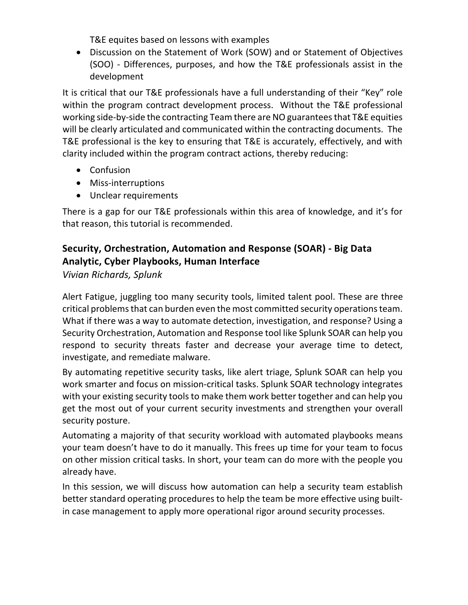T&E equites based on lessons with examples

• Discussion on the Statement of Work (SOW) and or Statement of Objectives (SOO) - Differences, purposes, and how the T&E professionals assist in the development

It is critical that our T&E professionals have a full understanding of their "Key" role within the program contract development process. Without the T&E professional working side-by-side the contracting Team there are NO guarantees that T&E equities will be clearly articulated and communicated within the contracting documents. The T&E professional is the key to ensuring that T&E is accurately, effectively, and with clarity included within the program contract actions, thereby reducing:

- Confusion
- Miss-interruptions
- Unclear requirements

There is a gap for our T&E professionals within this area of knowledge, and it's for that reason, this tutorial is recommended.

## **Security, Orchestration, Automation and Response (SOAR) - Big Data Analytic, Cyber Playbooks, Human Interface**

*Vivian Richards, Splunk*

Alert Fatigue, juggling too many security tools, limited talent pool. These are three critical problems that can burden even the most committed security operations team. What if there was a way to automate detection, investigation, and response? Using a Security Orchestration, Automation and Response tool like Splunk SOAR can help you respond to security threats faster and decrease your average time to detect, investigate, and remediate malware.

By automating repetitive security tasks, like alert triage, Splunk SOAR can help you work smarter and focus on mission-critical tasks. Splunk SOAR technology integrates with your existing security tools to make them work better together and can help you get the most out of your current security investments and strengthen your overall security posture.

Automating a majority of that security workload with automated playbooks means your team doesn't have to do it manually. This frees up time for your team to focus on other mission critical tasks. In short, your team can do more with the people you already have.

In this session, we will discuss how automation can help a security team establish better standard operating procedures to help the team be more effective using builtin case management to apply more operational rigor around security processes.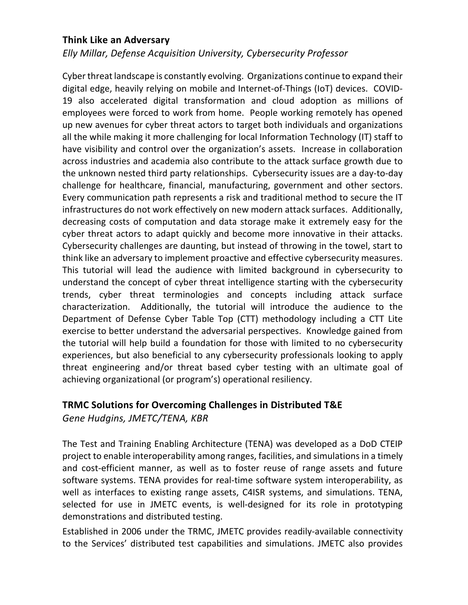#### **Think Like an Adversary**

*Elly Millar, Defense Acquisition University, Cybersecurity Professor*

Cyber threat landscape is constantly evolving. Organizations continue to expand their digital edge, heavily relying on mobile and Internet-of-Things (IoT) devices. COVID-19 also accelerated digital transformation and cloud adoption as millions of employees were forced to work from home. People working remotely has opened up new avenues for cyber threat actors to target both individuals and organizations all the while making it more challenging for local Information Technology (IT) staff to have visibility and control over the organization's assets. Increase in collaboration across industries and academia also contribute to the attack surface growth due to the unknown nested third party relationships. Cybersecurity issues are a day-to-day challenge for healthcare, financial, manufacturing, government and other sectors. Every communication path represents a risk and traditional method to secure the IT infrastructures do not work effectively on new modern attack surfaces. Additionally, decreasing costs of computation and data storage make it extremely easy for the cyber threat actors to adapt quickly and become more innovative in their attacks. Cybersecurity challenges are daunting, but instead of throwing in the towel, start to think like an adversary to implement proactive and effective cybersecurity measures. This tutorial will lead the audience with limited background in cybersecurity to understand the concept of cyber threat intelligence starting with the cybersecurity trends, cyber threat terminologies and concepts including attack surface characterization. Additionally, the tutorial will introduce the audience to the Department of Defense Cyber Table Top (CTT) methodology including a CTT Lite exercise to better understand the adversarial perspectives. Knowledge gained from the tutorial will help build a foundation for those with limited to no cybersecurity experiences, but also beneficial to any cybersecurity professionals looking to apply threat engineering and/or threat based cyber testing with an ultimate goal of achieving organizational (or program's) operational resiliency.

#### **TRMC Solutions for Overcoming Challenges in Distributed T&E**

*Gene Hudgins, JMETC/TENA, KBR*

The Test and Training Enabling Architecture (TENA) was developed as a DoD CTEIP project to enable interoperability among ranges, facilities, and simulations in a timely and cost-efficient manner, as well as to foster reuse of range assets and future software systems. TENA provides for real-time software system interoperability, as well as interfaces to existing range assets, C4ISR systems, and simulations. TENA, selected for use in JMETC events, is well-designed for its role in prototyping demonstrations and distributed testing.

Established in 2006 under the TRMC, JMETC provides readily-available connectivity to the Services' distributed test capabilities and simulations. JMETC also provides